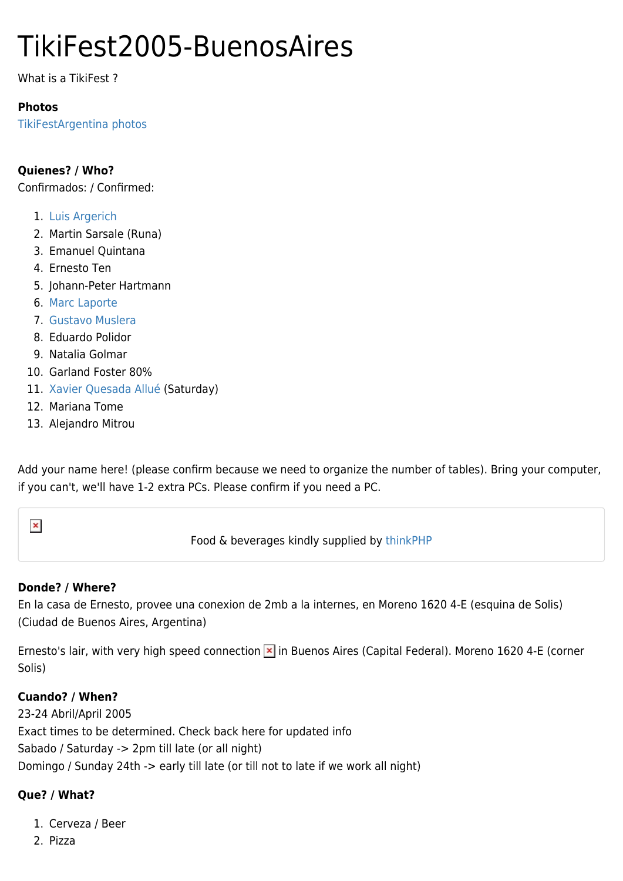# TikiFest2005-BuenosAires

What is a TikiFest ?

### **Photos**

[TikiFestArgentina photos](https://tiki.org/tiki-browse_gallery.php?galleryId=31)

## **Quienes? / Who?**

Confirmados: / Confirmed:

- 1. [Luis Argerich](https://tiki.org/AboutLuisArgerich)
- 2. Martin Sarsale (Runa)
- 3. Emanuel Quintana
- 4. Ernesto Ten
- 5. Johann-Peter Hartmann
- 6. [Marc Laporte](https://tiki.org/UserPagemarclaporte)
- 7. [Gustavo Muslera](https://tiki.org/UserPagegmuslera)
- 8. Eduardo Polidor
- 9. Natalia Golmar
- 10. Garland Foster 80%
- 11. [Xavier Quesada Allué](http://www.fundition.com) (Saturday)
- 12. Mariana Tome
- 13. Alejandro Mitrou

Add your name here! (please confirm because we need to organize the number of tables). Bring your computer, if you can't, we'll have 1-2 extra PCs. Please confirm if you need a PC.



Food & beverages kindly supplied by [thinkPHP](http://thinkphp.de/)

### **Donde? / Where?**

En la casa de Ernesto, provee una conexion de 2mb a la internes, en Moreno 1620 4-E (esquina de Solis) (Ciudad de Buenos Aires, Argentina)

Ernesto's lair, with very high speed connection  $\overline{\phantom{a}}$  in Buenos Aires (Capital Federal). Moreno 1620 4-E (corner Solis)

### **Cuando? / When?**

23-24 Abril/April 2005 Exact times to be determined. Check back here for updated info Sabado / Saturday -> 2pm till late (or all night) Domingo / Sunday 24th -> early till late (or till not to late if we work all night)

### **Que? / What?**

- 1. Cerveza / Beer
- 2. Pizza